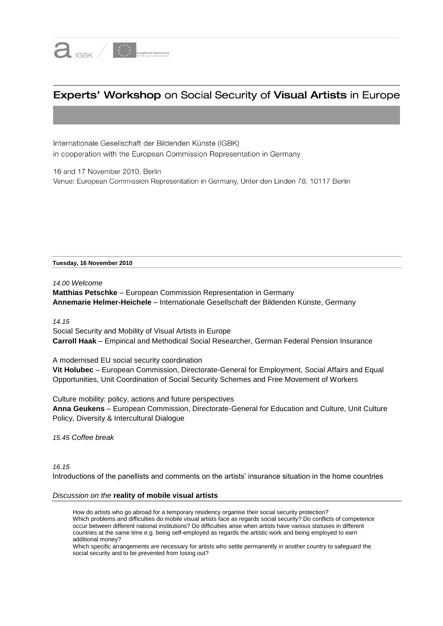

# Experts' Workshop on Social Security of Visual Artists in Europe

Internationale Gesellschaft der Bildenden Künste (IGBK) in cooperation with the European Commission Representation in Germany

16 and 17 November 2010, Berlin Venue: European Commission Representation in Germany, Unter den Linden 78, 10117 Berlin

**Tuesday, 16 November 2010**

*14.00 Welcome* **Matthias Petschke** – European Commission Representation in Germany **Annemarie Helmer-Heichele** – Internationale Gesellschaft der Bildenden Künste, Germany

*14.15* 

Social Security and Mobility of Visual Artists in Europe **Carroll Haak** – Empirical and Methodical Social Researcher, German Federal Pension Insurance

A modernised EU social security coordination

**Vit Holubec** – European Commission, Directorate-General for Employment, Social Affairs and Equal Opportunities, Unit Coordination of Social Security Schemes and Free Movement of Workers

Culture mobility: policy, actions and future perspectives **Anna Geukens** – European Commission, Directorate-General for Education and Culture, Unit Culture Policy, Diversity & Intercultural Dialogue

*15.45 Coffee break*

*16.15*

Introductions of the panellists and comments on the artists' insurance situation in the home countries

### *Discussion on the* **reality of mobile visual artists**

How do artists who go abroad for a temporary residency organise their social security protection? Which problems and difficulties do mobile visual artists face as regards social security? Do conflicts of competence occur between different national institutions? Do difficulties arise when artists have various statuses in different countries at the same time e.g. being self-employed as regards the artistic work and being employed to earn additional money?

Which specific arrangements are necessary for artists who settle permanently in another country to safeguard the social security and to be prevented from losing out?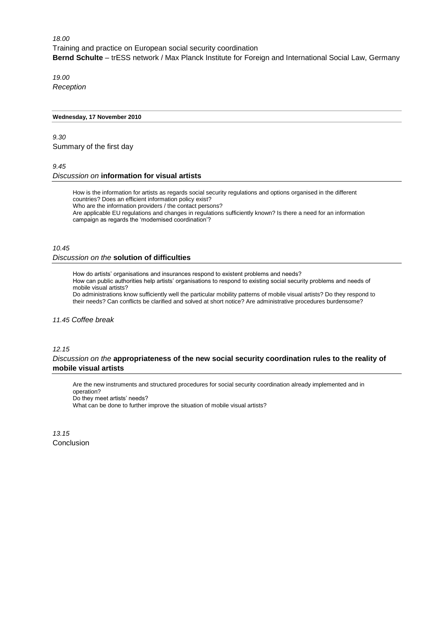*18.00*  Training and practice on European social security coordination **Bernd Schulte** – trESS network / Max Planck Institute for Foreign and International Social Law, Germany

*19.00 Reception*

#### **Wednesday, 17 November 2010**

# *9.30*  Summary of the first day

*9.45*

# *Discussion on* **information for visual artists**

How is the information for artists as regards social security regulations and options organised in the different countries? Does an efficient information policy exist? Who are the information providers / the contact persons? Are applicable EU regulations and changes in regulations sufficiently known? Is there a need for an information

campaign as regards the 'modernised coordination'?

## *10.45*

# *Discussion on the* **solution of difficulties**

How do artists' organisations and insurances respond to existent problems and needs?

How can public authorities help artists' organisations to respond to existing social security problems and needs of mobile visual artists?

Do administrations know sufficiently well the particular mobility patterns of mobile visual artists? Do they respond to their needs? Can conflicts be clarified and solved at short notice? Are administrative procedures burdensome?

#### *11.45 Coffee break*

### *12.15*

# *Discussion on the* **appropriateness of the new social security coordination rules to the reality of mobile visual artists**

Are the new instruments and structured procedures for social security coordination already implemented and in operation? Do they meet artists' needs? What can be done to further improve the situation of mobile visual artists?

*13.15* Conclusion